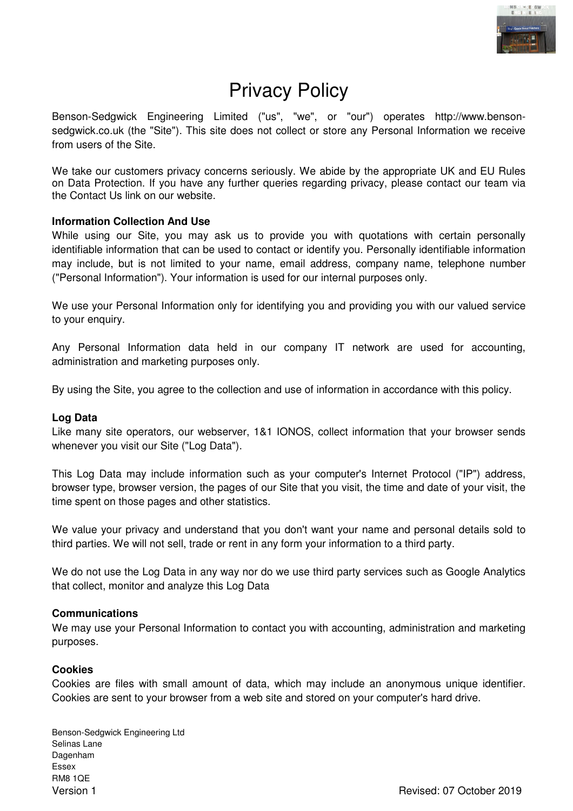

# Privacy Policy

Benson-Sedgwick Engineering Limited ("us", "we", or "our") operates http://www.bensonsedgwick.co.uk (the "Site"). This site does not collect or store any Personal Information we receive from users of the Site.

We take our customers privacy concerns seriously. We abide by the appropriate UK and EU Rules on Data Protection. If you have any further queries regarding privacy, please contact our team via the Contact Us link on our website.

# **Information Collection And Use**

While using our Site, you may ask us to provide you with quotations with certain personally identifiable information that can be used to contact or identify you. Personally identifiable information may include, but is not limited to your name, email address, company name, telephone number ("Personal Information"). Your information is used for our internal purposes only.

We use your Personal Information only for identifying you and providing you with our valued service to your enquiry.

Any Personal Information data held in our company IT network are used for accounting, administration and marketing purposes only.

By using the Site, you agree to the collection and use of information in accordance with this policy.

### **Log Data**

Like many site operators, our webserver, 1&1 IONOS, collect information that your browser sends whenever you visit our Site ("Log Data").

This Log Data may include information such as your computer's Internet Protocol ("IP") address, browser type, browser version, the pages of our Site that you visit, the time and date of your visit, the time spent on those pages and other statistics.

We value your privacy and understand that you don't want your name and personal details sold to third parties. We will not sell, trade or rent in any form your information to a third party.

We do not use the Log Data in any way nor do we use third party services such as Google Analytics that collect, monitor and analyze this Log Data

### **Communications**

We may use your Personal Information to contact you with accounting, administration and marketing purposes.

### **Cookies**

Cookies are files with small amount of data, which may include an anonymous unique identifier. Cookies are sent to your browser from a web site and stored on your computer's hard drive.

Benson-Sedgwick Engineering Ltd Selinas Lane Dagenham Essex RM8 1QE Version 1 Revised: 07 October 2019